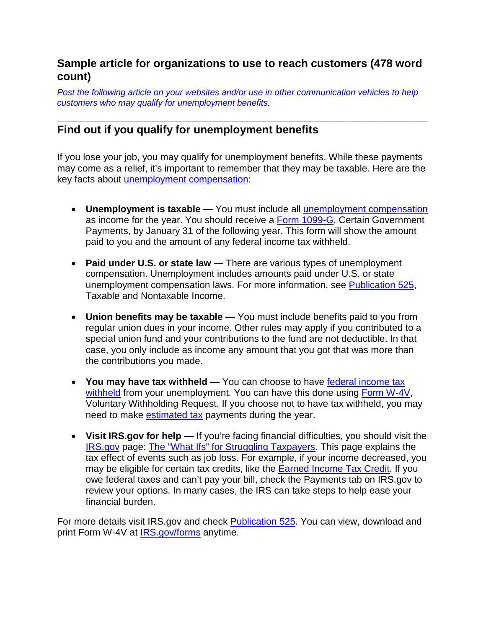# **Sample article for organizations to use to reach customers (478 word count)**

*Post the following article on your websites and/or use in other communication vehicles to help customers who may qualify for unemployment benefits.*

#### **\_\_\_\_\_\_\_\_\_\_\_\_\_\_\_\_\_\_\_\_\_\_\_\_\_\_\_\_\_\_\_\_\_\_\_\_\_\_\_\_\_\_\_\_\_\_\_\_\_\_\_\_\_\_\_\_\_\_\_\_\_\_\_\_\_\_\_\_\_\_ Find out if you qualify for unemployment benefits**

If you lose your job, you may qualify for unemployment benefits. While these payments may come as a relief, it's important to remember that they may be taxable. Here are the key facts about [unemployment compensation:](https://www.irs.gov/individuals/employees/unemployment-compensation)

- **Unemployment is taxable —** You must include all [unemployment compensation](https://www.irs.gov/taxtopics/tc418.html) as income for the year. You should receive a [Form 1099-G,](https://www.irs.gov/uac/about-form-1099g) Certain Government Payments, by January 31 of the following year. This form will show the amount paid to you and the amount of any federal income tax withheld.
- **Paid under U.S. or state law —** There are various types of unemployment compensation. Unemployment includes amounts paid under U.S. or state unemployment compensation laws. For more information, see [Publication 525,](https://www.irs.gov/uac/about-publication-525) Taxable and Nontaxable Income.
- **Union benefits may be taxable —** You must include benefits paid to you from regular union dues in your income. Other rules may apply if you contributed to a special union fund and your contributions to the fund are not deductible. In that case, you only include as income any amount that you got that was more than the contributions you made.
- **You may have tax withheld —** You can choose to have [federal income tax](https://www.irs.gov/individuals/employees/tax-withholding)  [withheld](https://www.irs.gov/individuals/employees/tax-withholding) from your unemployment. You can have this done using [Form W-4V,](https://www.irs.gov/uac/form-w-4v-voluntary-withholding-request-1) Voluntary Withholding Request. If you choose not to have tax withheld, you may need to make [estimated tax](https://www.irs.gov/businesses/small-businesses-self-employed/estimated-taxes) payments during the year.
- **Visit IRS.gov for help —** If you're facing financial difficulties, you should visit the [IRS.gov](https://www.irs.gov/) page: [The "What Ifs" for Struggling Taxpayers.](https://www.irs.gov/uac/the-what-ifs-for-struggling-taxpayers) This page explains the tax effect of events such as job loss. For example, if your income decreased, you may be eligible for certain tax credits, like the [Earned Income Tax Credit.](https://www.irs.gov/credits-deductions/individuals/earned-income-tax-credit) If you owe federal taxes and can't pay your bill, check the Payments tab on IRS.gov to review your options. In many cases, the IRS can take steps to help ease your financial burden.

For more details visit IRS.gov and check [Publication 525.](https://www.irs.gov/uac/about-publication-525) You can view, download and print Form W-4V at [IRS.gov/forms](https://www.irs.gov/forms-pubs) anytime.